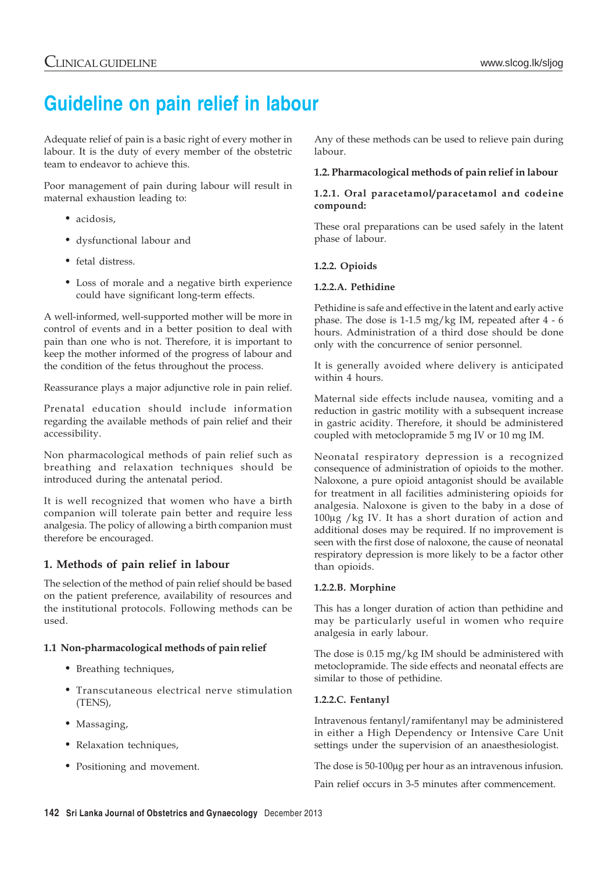# **Guideline on pain relief in labour**

Adequate relief of pain is a basic right of every mother in labour. It is the duty of every member of the obstetric team to endeavor to achieve this.

Poor management of pain during labour will result in maternal exhaustion leading to:

- acidosis,
- dysfunctional labour and
- fetal distress.
- Loss of morale and a negative birth experience could have significant long-term effects.

A well-informed, well-supported mother will be more in control of events and in a better position to deal with pain than one who is not. Therefore, it is important to keep the mother informed of the progress of labour and the condition of the fetus throughout the process.

Reassurance plays a major adjunctive role in pain relief.

Prenatal education should include information regarding the available methods of pain relief and their accessibility.

Non pharmacological methods of pain relief such as breathing and relaxation techniques should be introduced during the antenatal period.

It is well recognized that women who have a birth companion will tolerate pain better and require less analgesia. The policy of allowing a birth companion must therefore be encouraged.

## **1. Methods of pain relief in labour**

The selection of the method of pain relief should be based on the patient preference, availability of resources and the institutional protocols. Following methods can be used.

## **1.1 Non-pharmacological methods of pain relief**

- Breathing techniques,
- Transcutaneous electrical nerve stimulation (TENS),
- Massaging,
- Relaxation techniques,
- Positioning and movement.

Any of these methods can be used to relieve pain during labour.

## **1.2. Pharmacological methods of pain relief in labour**

#### **1.2.1. Oral paracetamol/paracetamol and codeine compound:**

These oral preparations can be used safely in the latent phase of labour.

## **1.2.2. Opioids**

## **1.2.2.A. Pethidine**

Pethidine is safe and effective in the latent and early active phase. The dose is 1-1.5 mg/kg IM, repeated after 4 - 6 hours. Administration of a third dose should be done only with the concurrence of senior personnel.

It is generally avoided where delivery is anticipated within 4 hours.

Maternal side effects include nausea, vomiting and a reduction in gastric motility with a subsequent increase in gastric acidity. Therefore, it should be administered coupled with metoclopramide 5 mg IV or 10 mg IM.

Neonatal respiratory depression is a recognized consequence of administration of opioids to the mother. Naloxone, a pure opioid antagonist should be available for treatment in all facilities administering opioids for analgesia. Naloxone is given to the baby in a dose of 100μg /kg IV. It has a short duration of action and additional doses may be required. If no improvement is seen with the first dose of naloxone, the cause of neonatal respiratory depression is more likely to be a factor other than opioids.

## **1.2.2.B. Morphine**

This has a longer duration of action than pethidine and may be particularly useful in women who require analgesia in early labour.

The dose is 0.15 mg/kg IM should be administered with metoclopramide. The side effects and neonatal effects are similar to those of pethidine.

## **1.2.2.C. Fentanyl**

Intravenous fentanyl/ramifentanyl may be administered in either a High Dependency or Intensive Care Unit settings under the supervision of an anaesthesiologist.

The dose is 50-100μg per hour as an intravenous infusion.

Pain relief occurs in 3-5 minutes after commencement.